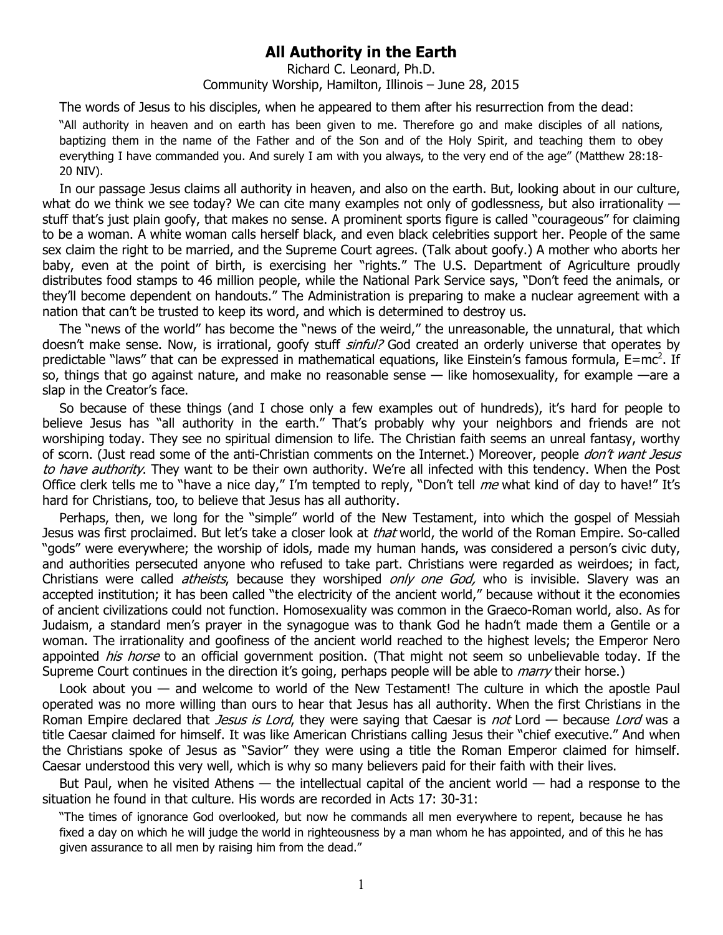## **All Authority in the Earth**

Richard C. Leonard, Ph.D. Community Worship, Hamilton, Illinois – June 28, 2015

The words of Jesus to his disciples, when he appeared to them after his resurrection from the dead:

"All authority in heaven and on earth has been given to me. Therefore go and make disciples of all nations, baptizing them in the name of the Father and of the Son and of the Holy Spirit, and teaching them to obey everything I have commanded you. And surely I am with you always, to the very end of the age" (Matthew 28:18- 20 NIV).

In our passage Jesus claims all authority in heaven, and also on the earth. But, looking about in our culture, what do we think we see today? We can cite many examples not only of godlessness, but also irrationality stuff that's just plain goofy, that makes no sense. A prominent sports figure is called "courageous" for claiming to be a woman. A white woman calls herself black, and even black celebrities support her. People of the same sex claim the right to be married, and the Supreme Court agrees. (Talk about goofy.) A mother who aborts her baby, even at the point of birth, is exercising her "rights." The U.S. Department of Agriculture proudly distributes food stamps to 46 million people, while the National Park Service says, "Don't feed the animals, or they'll become dependent on handouts." The Administration is preparing to make a nuclear agreement with a nation that can't be trusted to keep its word, and which is determined to destroy us.

The "news of the world" has become the "news of the weird," the unreasonable, the unnatural, that which doesn't make sense. Now, is irrational, goofy stuff sinful? God created an orderly universe that operates by predictable "laws" that can be expressed in mathematical equations, like Einstein's famous formula,  $E=mc^2$ . If so, things that go against nature, and make no reasonable sense — like homosexuality, for example —are a slap in the Creator's face.

So because of these things (and I chose only a few examples out of hundreds), it's hard for people to believe Jesus has "all authority in the earth." That's probably why your neighbors and friends are not worshiping today. They see no spiritual dimension to life. The Christian faith seems an unreal fantasy, worthy of scorn. (Just read some of the anti-Christian comments on the Internet.) Moreover, people *don't want Jesus* to have authority. They want to be their own authority. We're all infected with this tendency. When the Post Office clerk tells me to "have a nice day," I'm tempted to reply, "Don't tell me what kind of day to have!" It's hard for Christians, too, to believe that Jesus has all authority.

Perhaps, then, we long for the "simple" world of the New Testament, into which the gospel of Messiah Jesus was first proclaimed. But let's take a closer look at *that* world, the world of the Roman Empire. So-called "gods" were everywhere; the worship of idols, made my human hands, was considered a person's civic duty, and authorities persecuted anyone who refused to take part. Christians were regarded as weirdoes; in fact, Christians were called *atheists*, because they worshiped only one God, who is invisible. Slavery was an accepted institution; it has been called "the electricity of the ancient world," because without it the economies of ancient civilizations could not function. Homosexuality was common in the Graeco-Roman world, also. As for Judaism, a standard men's prayer in the synagogue was to thank God he hadn't made them a Gentile or a woman. The irrationality and goofiness of the ancient world reached to the highest levels; the Emperor Nero appointed his horse to an official government position. (That might not seem so unbelievable today. If the Supreme Court continues in the direction it's going, perhaps people will be able to *marry* their horse.)

Look about you — and welcome to world of the New Testament! The culture in which the apostle Paul operated was no more willing than ours to hear that Jesus has all authority. When the first Christians in the Roman Empire declared that *Jesus is Lord*, they were saying that Caesar is *not* Lord — because Lord was a title Caesar claimed for himself. It was like American Christians calling Jesus their "chief executive." And when the Christians spoke of Jesus as "Savior" they were using a title the Roman Emperor claimed for himself. Caesar understood this very well, which is why so many believers paid for their faith with their lives.

But Paul, when he visited Athens — the intellectual capital of the ancient world — had a response to the situation he found in that culture. His words are recorded in Acts 17: 30-31:

"The times of ignorance God overlooked, but now he commands all men everywhere to repent, because he has fixed a day on which he will judge the world in righteousness by a man whom he has appointed, and of this he has given assurance to all men by raising him from the dead."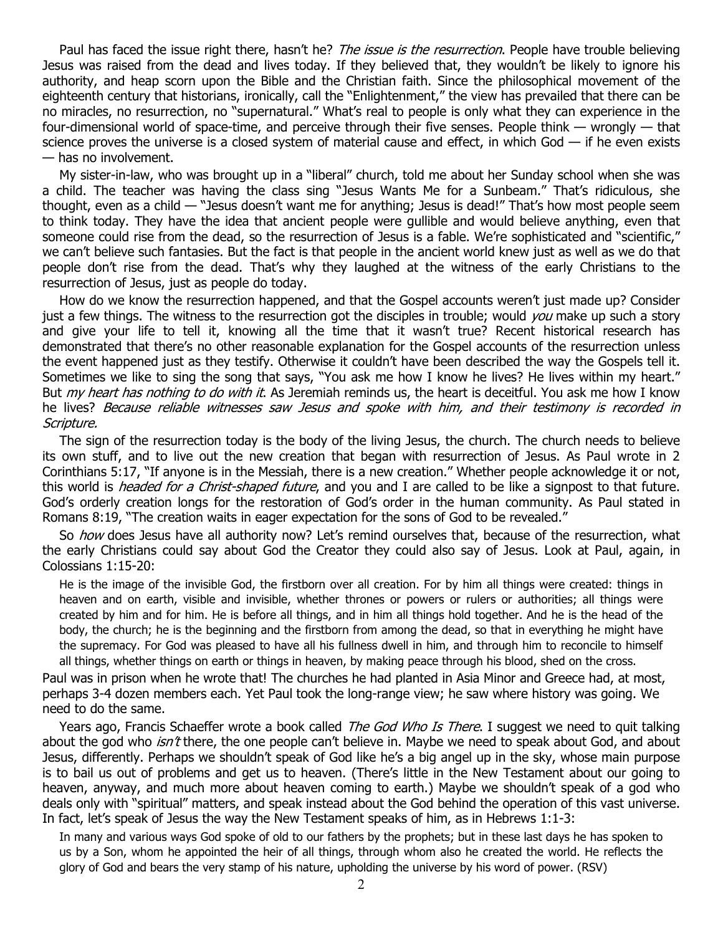Paul has faced the issue right there, hasn't he? The issue is the resurrection. People have trouble believing Jesus was raised from the dead and lives today. If they believed that, they wouldn't be likely to ignore his authority, and heap scorn upon the Bible and the Christian faith. Since the philosophical movement of the eighteenth century that historians, ironically, call the "Enlightenment," the view has prevailed that there can be no miracles, no resurrection, no "supernatural." What's real to people is only what they can experience in the four-dimensional world of space-time, and perceive through their five senses. People think — wrongly — that science proves the universe is a closed system of material cause and effect, in which God  $-$  if he even exists — has no involvement.

My sister-in-law, who was brought up in a "liberal" church, told me about her Sunday school when she was a child. The teacher was having the class sing "Jesus Wants Me for a Sunbeam." That's ridiculous, she thought, even as a child — "Jesus doesn't want me for anything; Jesus is dead!" That's how most people seem to think today. They have the idea that ancient people were gullible and would believe anything, even that someone could rise from the dead, so the resurrection of Jesus is a fable. We're sophisticated and "scientific," we can't believe such fantasies. But the fact is that people in the ancient world knew just as well as we do that people don't rise from the dead. That's why they laughed at the witness of the early Christians to the resurrection of Jesus, just as people do today.

How do we know the resurrection happened, and that the Gospel accounts weren't just made up? Consider just a few things. The witness to the resurrection got the disciples in trouble; would you make up such a story and give your life to tell it, knowing all the time that it wasn't true? Recent historical research has demonstrated that there's no other reasonable explanation for the Gospel accounts of the resurrection unless the event happened just as they testify. Otherwise it couldn't have been described the way the Gospels tell it. Sometimes we like to sing the song that says, "You ask me how I know he lives? He lives within my heart." But *my heart has nothing to do with it*. As Jeremiah reminds us, the heart is deceitful. You ask me how I know he lives? Because reliable witnesses saw Jesus and spoke with him, and their testimony is recorded in Scripture.

The sign of the resurrection today is the body of the living Jesus, the church. The church needs to believe its own stuff, and to live out the new creation that began with resurrection of Jesus. As Paul wrote in 2 Corinthians 5:17, "If anyone is in the Messiah, there is a new creation." Whether people acknowledge it or not, this world is *headed for a Christ-shaped future*, and you and I are called to be like a signpost to that future. God's orderly creation longs for the restoration of God's order in the human community. As Paul stated in Romans 8:19, "The creation waits in eager expectation for the sons of God to be revealed."

So *how* does Jesus have all authority now? Let's remind ourselves that, because of the resurrection, what the early Christians could say about God the Creator they could also say of Jesus. Look at Paul, again, in Colossians 1:15-20:

He is the image of the invisible God, the firstborn over all creation. For by him all things were created: things in heaven and on earth, visible and invisible, whether thrones or powers or rulers or authorities; all things were created by him and for him. He is before all things, and in him all things hold together. And he is the head of the body, the church; he is the beginning and the firstborn from among the dead, so that in everything he might have the supremacy. For God was pleased to have all his fullness dwell in him, and through him to reconcile to himself all things, whether things on earth or things in heaven, by making peace through his blood, shed on the cross.

Paul was in prison when he wrote that! The churches he had planted in Asia Minor and Greece had, at most, perhaps 3-4 dozen members each. Yet Paul took the long-range view; he saw where history was going. We need to do the same.

Years ago, Francis Schaeffer wrote a book called *The God Who Is There*. I suggest we need to quit talking about the god who *isn't* there, the one people can't believe in. Maybe we need to speak about God, and about Jesus, differently. Perhaps we shouldn't speak of God like he's a big angel up in the sky, whose main purpose is to bail us out of problems and get us to heaven. (There's little in the New Testament about our going to heaven, anyway, and much more about heaven coming to earth.) Maybe we shouldn't speak of a god who deals only with "spiritual" matters, and speak instead about the God behind the operation of this vast universe. In fact, let's speak of Jesus the way the New Testament speaks of him, as in Hebrews 1:1-3:

In many and various ways God spoke of old to our fathers by the prophets; but in these last days he has spoken to us by a Son, whom he appointed the heir of all things, through whom also he created the world. He reflects the glory of God and bears the very stamp of his nature, upholding the universe by his word of power. (RSV)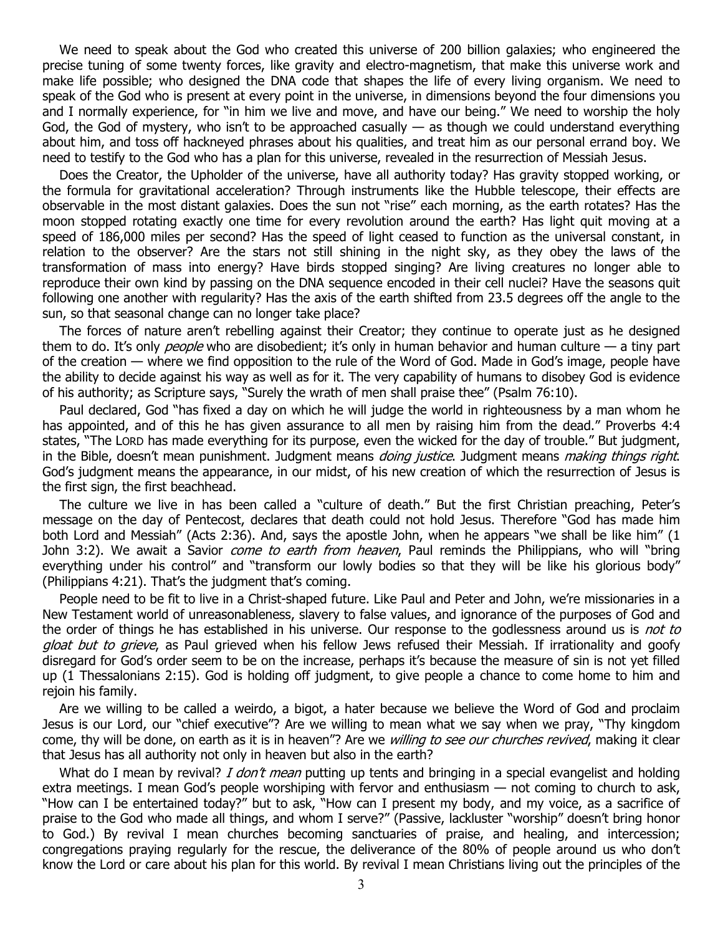We need to speak about the God who created this universe of 200 billion galaxies; who engineered the precise tuning of some twenty forces, like gravity and electro-magnetism, that make this universe work and make life possible; who designed the DNA code that shapes the life of every living organism. We need to speak of the God who is present at every point in the universe, in dimensions beyond the four dimensions you and I normally experience, for "in him we live and move, and have our being." We need to worship the holy God, the God of mystery, who isn't to be approached casually — as though we could understand everything about him, and toss off hackneyed phrases about his qualities, and treat him as our personal errand boy. We need to testify to the God who has a plan for this universe, revealed in the resurrection of Messiah Jesus.

Does the Creator, the Upholder of the universe, have all authority today? Has gravity stopped working, or the formula for gravitational acceleration? Through instruments like the Hubble telescope, their effects are observable in the most distant galaxies. Does the sun not "rise" each morning, as the earth rotates? Has the moon stopped rotating exactly one time for every revolution around the earth? Has light quit moving at a speed of 186,000 miles per second? Has the speed of light ceased to function as the universal constant, in relation to the observer? Are the stars not still shining in the night sky, as they obey the laws of the transformation of mass into energy? Have birds stopped singing? Are living creatures no longer able to reproduce their own kind by passing on the DNA sequence encoded in their cell nuclei? Have the seasons quit following one another with regularity? Has the axis of the earth shifted from 23.5 degrees off the angle to the sun, so that seasonal change can no longer take place?

The forces of nature aren't rebelling against their Creator; they continue to operate just as he designed them to do. It's only *people* who are disobedient; it's only in human behavior and human culture — a tiny part of the creation — where we find opposition to the rule of the Word of God. Made in God's image, people have the ability to decide against his way as well as for it. The very capability of humans to disobey God is evidence of his authority; as Scripture says, "Surely the wrath of men shall praise thee" (Psalm 76:10).

Paul declared, God "has fixed a day on which he will judge the world in righteousness by a man whom he has appointed, and of this he has given assurance to all men by raising him from the dead." Proverbs 4:4 states, "The LORD has made everything for its purpose, even the wicked for the day of trouble." But judgment, in the Bible, doesn't mean punishment. Judgment means *doing justice*. Judgment means *making things right*. God's judgment means the appearance, in our midst, of his new creation of which the resurrection of Jesus is the first sign, the first beachhead.

The culture we live in has been called a "culture of death." But the first Christian preaching, Peter's message on the day of Pentecost, declares that death could not hold Jesus. Therefore "God has made him both Lord and Messiah" (Acts 2:36). And, says the apostle John, when he appears "we shall be like him" (1 John 3:2). We await a Savior *come to earth from heaven*, Paul reminds the Philippians, who will "bring everything under his control" and "transform our lowly bodies so that they will be like his glorious body" (Philippians 4:21). That's the judgment that's coming.

People need to be fit to live in a Christ-shaped future. Like Paul and Peter and John, we're missionaries in a New Testament world of unreasonableness, slavery to false values, and ignorance of the purposes of God and the order of things he has established in his universe. Our response to the godlessness around us is not to gloat but to grieve, as Paul grieved when his fellow Jews refused their Messiah. If irrationality and goofy disregard for God's order seem to be on the increase, perhaps it's because the measure of sin is not yet filled up (1 Thessalonians 2:15). God is holding off judgment, to give people a chance to come home to him and rejoin his family.

Are we willing to be called a weirdo, a bigot, a hater because we believe the Word of God and proclaim Jesus is our Lord, our "chief executive"? Are we willing to mean what we say when we pray, "Thy kingdom come, thy will be done, on earth as it is in heaven"? Are we willing to see our churches revived, making it clear that Jesus has all authority not only in heaven but also in the earth?

What do I mean by revival? I don't mean putting up tents and bringing in a special evangelist and holding extra meetings. I mean God's people worshiping with fervor and enthusiasm — not coming to church to ask, "How can I be entertained today?" but to ask, "How can I present my body, and my voice, as a sacrifice of praise to the God who made all things, and whom I serve?" (Passive, lackluster "worship" doesn't bring honor to God.) By revival I mean churches becoming sanctuaries of praise, and healing, and intercession; congregations praying regularly for the rescue, the deliverance of the 80% of people around us who don't know the Lord or care about his plan for this world. By revival I mean Christians living out the principles of the